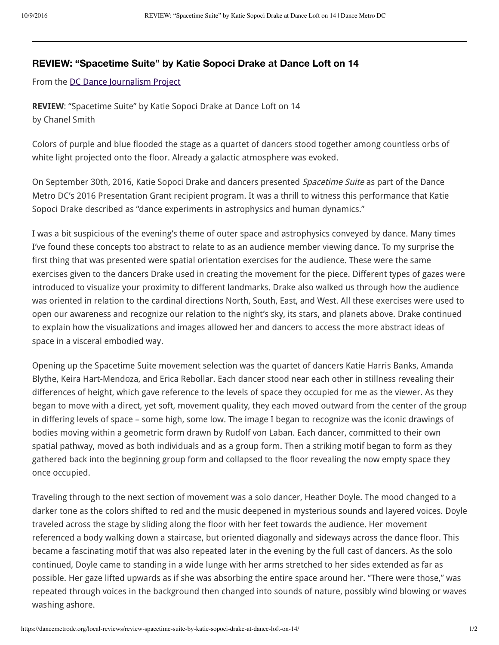## **REVIEW: "Spacetime Suite" by Katie Sopoci Drake at Dance Loft on 14**

From the DC Dance Journalism Project

REVIEW: "Spacetime Suite" by Katie Sopoci Drake at Dance Loft on 14 by Chanel Smith

Colors of purple and blue flooded the stage as a quartet of dancers stood together among countless orbs of white light projected onto the floor. Already a galactic atmosphere was evoked.

On September 30th, 2016, Katie Sopoci Drake and dancers presented Spacetime Suite as part of the Dance Metro DC's 2016 Presentation Grant recipient program. It was a thrill to witness this performance that Katie Sopoci Drake described as "dance experiments in astrophysics and human dynamics."

I was a bit suspicious of the evening's theme of outer space and astrophysics conveyed by dance. Many times I've found these concepts too abstract to relate to as an audience member viewing dance. To my surprise the first thing that was presented were spatial orientation exercises for the audience. These were the same exercises given to the dancers Drake used in creating the movement for the piece. Different types of gazes were introduced to visualize your proximity to different landmarks. Drake also walked us through how the audience was oriented in relation to the cardinal directions North, South, East, and West. All these exercises were used to open our awareness and recognize our relation to the night's sky, its stars, and planets above. Drake continued to explain how the visualizations and images allowed her and dancers to access the more abstract ideas of space in a visceral embodied way.

Opening up the Spacetime Suite movement selection was the quartet of dancers Katie Harris Banks, Amanda Blythe, Keira Hart-Mendoza, and Erica Rebollar. Each dancer stood near each other in stillness revealing their differences of height, which gave reference to the levels of space they occupied for me as the viewer. As they began to move with a direct, yet soft, movement quality, they each moved outward from the center of the group in differing levels of space – some high, some low. The image I began to recognize was the iconic drawings of bodies moving within a geometric form drawn by Rudolf von Laban. Each dancer, committed to their own spatial pathway, moved as both individuals and as a group form. Then a striking motif began to form as they gathered back into the beginning group form and collapsed to the floor revealing the now empty space they once occupied.

Traveling through to the next section of movement was a solo dancer, Heather Doyle. The mood changed to a darker tone as the colors shifted to red and the music deepened in mysterious sounds and layered voices. Doyle traveled across the stage by sliding along the floor with her feet towards the audience. Her movement referenced a body walking down a staircase, but oriented diagonally and sideways across the dance floor. This became a fascinating motif that was also repeated later in the evening by the full cast of dancers. As the solo continued, Doyle came to standing in a wide lunge with her arms stretched to her sides extended as far as possible. Her gaze lifted upwards as if she was absorbing the entire space around her. "There were those," was repeated through voices in the background then changed into sounds of nature, possibly wind blowing or waves washing ashore.